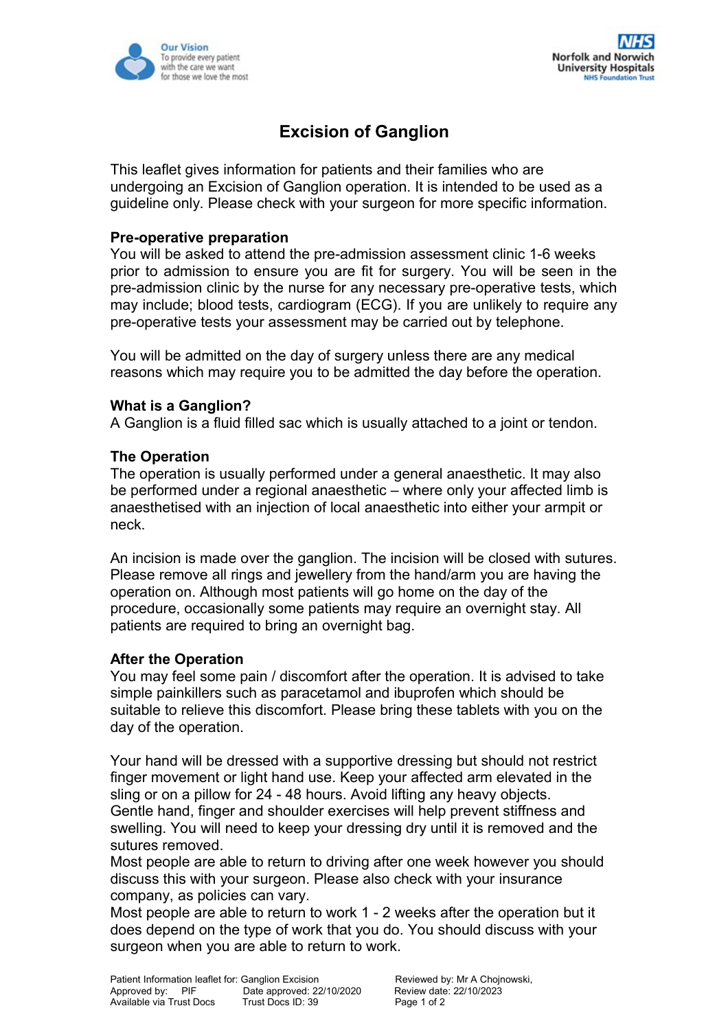

# **Excision of Ganglion**

This leaflet gives information for patients and their families who are undergoing an Excision of Ganglion operation. It is intended to be used as a guideline only. Please check with your surgeon for more specific information.

## **Pre-operative preparation**

You will be asked to attend the pre-admission assessment clinic 1-6 weeks prior to admission to ensure you are fit for surgery. You will be seen in the pre-admission clinic by the nurse for any necessary pre-operative tests, which may include; blood tests, cardiogram (ECG). If you are unlikely to require any pre-operative tests your assessment may be carried out by telephone.

You will be admitted on the day of surgery unless there are any medical reasons which may require you to be admitted the day before the operation.

#### **What is a Ganglion?**

A Ganglion is a fluid filled sac which is usually attached to a joint or tendon.

#### **The Operation**

The operation is usually performed under a general anaesthetic. It may also be performed under a regional anaesthetic – where only your affected limb is anaesthetised with an injection of local anaesthetic into either your armpit or neck.

An incision is made over the ganglion. The incision will be closed with sutures. Please remove all rings and jewellery from the hand/arm you are having the operation on. Although most patients will go home on the day of the procedure, occasionally some patients may require an overnight stay. All patients are required to bring an overnight bag.

## **After the Operation**

You may feel some pain / discomfort after the operation. It is advised to take simple painkillers such as paracetamol and ibuprofen which should be suitable to relieve this discomfort. Please bring these tablets with you on the day of the operation.

Your hand will be dressed with a supportive dressing but should not restrict finger movement or light hand use. Keep your affected arm elevated in the sling or on a pillow for 24 - 48 hours. Avoid lifting any heavy objects. Gentle hand, finger and shoulder exercises will help prevent stiffness and swelling. You will need to keep your dressing dry until it is removed and the sutures removed.

Most people are able to return to driving after one week however you should discuss this with your surgeon. Please also check with your insurance company, as policies can vary.

Most people are able to return to work 1 - 2 weeks after the operation but it does depend on the type of work that you do. You should discuss with your surgeon when you are able to return to work.

Patient Information leaflet for: Ganglion Excision **Reviewed by: Mr A Chojnowski,**<br>Approved by: PIF Date approved: 22/10/2020 Review date: 22/10/2023 Patient miditiality realier of Corresponding Date approved: 22/10/2020 Review date:<br>Approved by: PIF Docs Date approved: 22/10/2020 Review date<br>Available via Trust Docs Trust Docs ID: 39 Available via Trust Docs